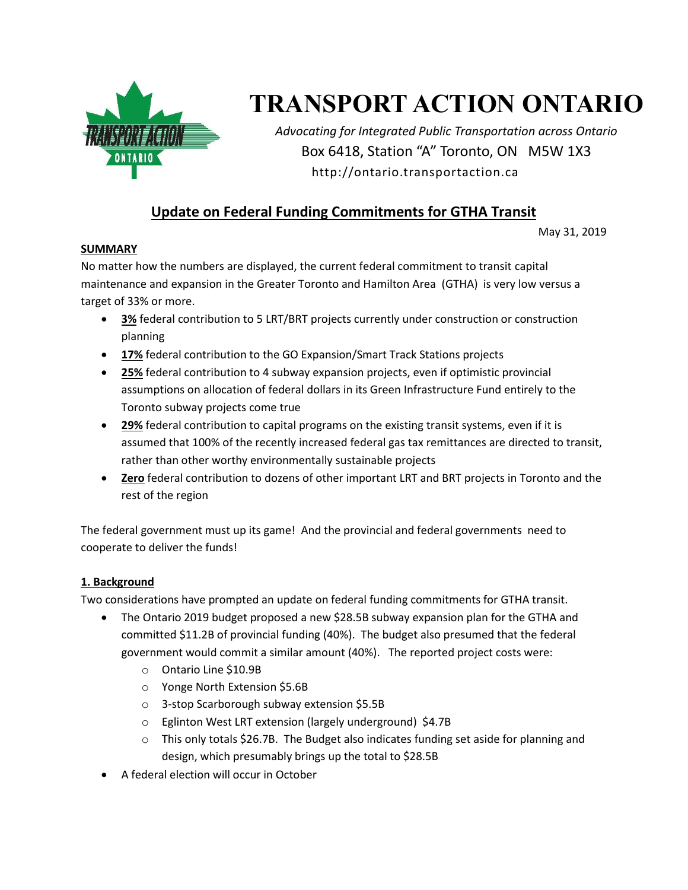

# **TRANSPORT ACTION ONTARIO**

*Advocating for Integrated Public Transportation across Ontario* Box 6418, Station "A" Toronto, ON M5W 1X3 http://ontario.transportaction.ca

# **Update on Federal Funding Commitments for GTHA Transit**

May 31, 2019

#### **SUMMARY**

No matter how the numbers are displayed, the current federal commitment to transit capital maintenance and expansion in the Greater Toronto and Hamilton Area (GTHA) is very low versus a target of 33% or more.

- **3%** federal contribution to 5 LRT/BRT projects currently under construction or construction planning
- **17%** federal contribution to the GO Expansion/Smart Track Stations projects
- **25%** federal contribution to 4 subway expansion projects, even if optimistic provincial assumptions on allocation of federal dollars in its Green Infrastructure Fund entirely to the Toronto subway projects come true
- **29%** federal contribution to capital programs on the existing transit systems, even if it is assumed that 100% of the recently increased federal gas tax remittances are directed to transit, rather than other worthy environmentally sustainable projects
- **Zero** federal contribution to dozens of other important LRT and BRT projects in Toronto and the rest of the region

The federal government must up its game! And the provincial and federal governments need to cooperate to deliver the funds!

#### **1. Background**

Two considerations have prompted an update on federal funding commitments for GTHA transit.

- The Ontario 2019 budget proposed a new \$28.5B subway expansion plan for the GTHA and committed \$11.2B of provincial funding (40%). The budget also presumed that the federal government would commit a similar amount (40%). The reported project costs were:
	- o Ontario Line \$10.9B
	- o Yonge North Extension \$5.6B
	- o 3-stop Scarborough subway extension \$5.5B
	- o Eglinton West LRT extension (largely underground) \$4.7B
	- $\circ$  This only totals \$26.7B. The Budget also indicates funding set aside for planning and design, which presumably brings up the total to \$28.5B
- A federal election will occur in October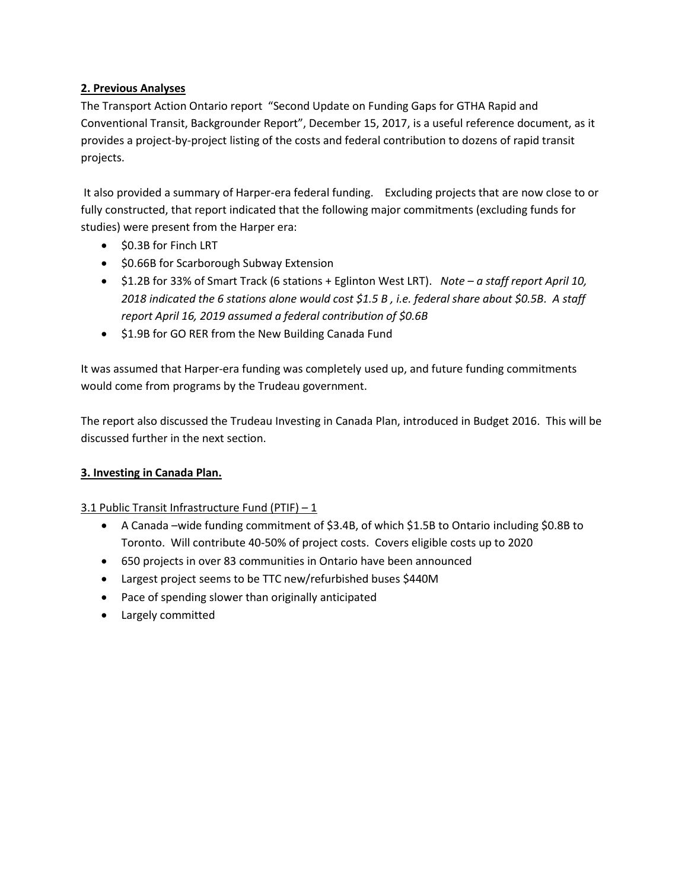#### **2. Previous Analyses**

The Transport Action Ontario report "Second Update on Funding Gaps for GTHA Rapid and Conventional Transit, Backgrounder Report", December 15, 2017, is a useful reference document, as it provides a project-by-project listing of the costs and federal contribution to dozens of rapid transit projects.

It also provided a summary of Harper-era federal funding. Excluding projects that are now close to or fully constructed, that report indicated that the following major commitments (excluding funds for studies) were present from the Harper era:

- $\bullet$  \$0.3B for Finch LRT
- **SO.66B for Scarborough Subway Extension**
- \$1.2B for 33% of Smart Track (6 stations + Eglinton West LRT). *Note – a staff report April 10, 2018 indicated the 6 stations alone would cost \$1.5 B , i.e. federal share about \$0.5B. A staff report April 16, 2019 assumed a federal contribution of \$0.6B*
- $\bullet$  \$1.9B for GO RER from the New Building Canada Fund

It was assumed that Harper-era funding was completely used up, and future funding commitments would come from programs by the Trudeau government.

The report also discussed the Trudeau Investing in Canada Plan, introduced in Budget 2016. This will be discussed further in the next section.

#### **3. Investing in Canada Plan.**

## 3.1 Public Transit Infrastructure Fund (PTIF)  $-1$

- A Canada –wide funding commitment of \$3.4B, of which \$1.5B to Ontario including \$0.8B to Toronto. Will contribute 40-50% of project costs. Covers eligible costs up to 2020
- 650 projects in over 83 communities in Ontario have been announced
- Largest project seems to be TTC new/refurbished buses \$440M
- Pace of spending slower than originally anticipated
- Largely committed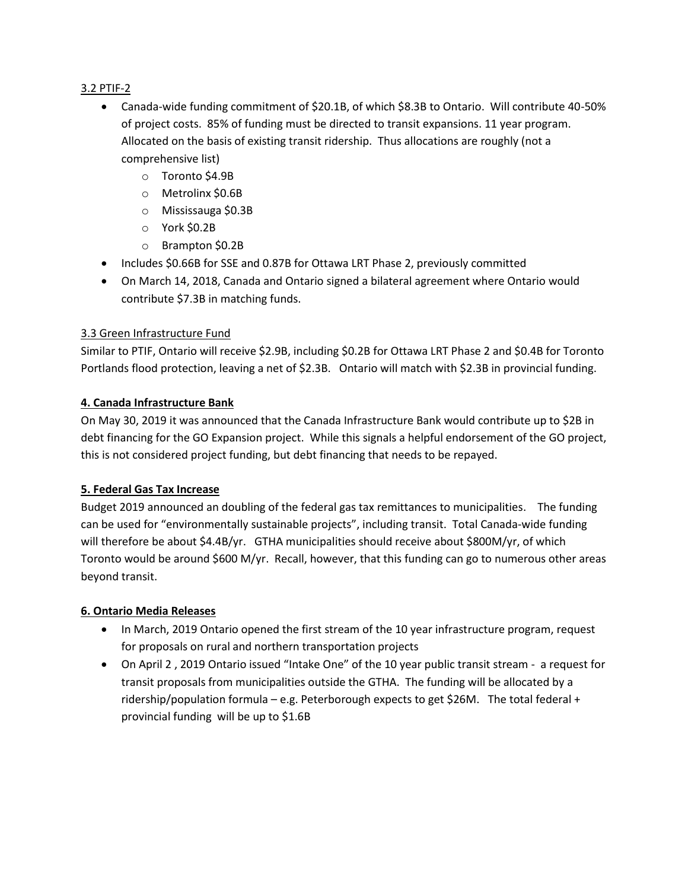#### 3.2 PTIF-2

- Canada-wide funding commitment of \$20.1B, of which \$8.3B to Ontario. Will contribute 40-50% of project costs. 85% of funding must be directed to transit expansions. 11 year program. Allocated on the basis of existing transit ridership. Thus allocations are roughly (not a comprehensive list)
	- o Toronto \$4.9B
	- o Metrolinx \$0.6B
	- o Mississauga \$0.3B
	- o York \$0.2B
	- o Brampton \$0.2B
- Includes \$0.66B for SSE and 0.87B for Ottawa LRT Phase 2, previously committed
- On March 14, 2018, Canada and Ontario signed a bilateral agreement where Ontario would contribute \$7.3B in matching funds.

#### 3.3 Green Infrastructure Fund

Similar to PTIF, Ontario will receive \$2.9B, including \$0.2B for Ottawa LRT Phase 2 and \$0.4B for Toronto Portlands flood protection, leaving a net of \$2.3B. Ontario will match with \$2.3B in provincial funding.

#### **4. Canada Infrastructure Bank**

On May 30, 2019 it was announced that the Canada Infrastructure Bank would contribute up to \$2B in debt financing for the GO Expansion project. While this signals a helpful endorsement of the GO project, this is not considered project funding, but debt financing that needs to be repayed.

#### **5. Federal Gas Tax Increase**

Budget 2019 announced an doubling of the federal gas tax remittances to municipalities. The funding can be used for "environmentally sustainable projects", including transit. Total Canada-wide funding will therefore be about \$4.4B/yr. GTHA municipalities should receive about \$800M/yr, of which Toronto would be around \$600 M/yr. Recall, however, that this funding can go to numerous other areas beyond transit.

#### **6. Ontario Media Releases**

- In March, 2019 Ontario opened the first stream of the 10 year infrastructure program, request for proposals on rural and northern transportation projects
- On April 2 , 2019 Ontario issued "Intake One" of the 10 year public transit stream a request for transit proposals from municipalities outside the GTHA. The funding will be allocated by a ridership/population formula – e.g. Peterborough expects to get \$26M. The total federal + provincial funding will be up to \$1.6B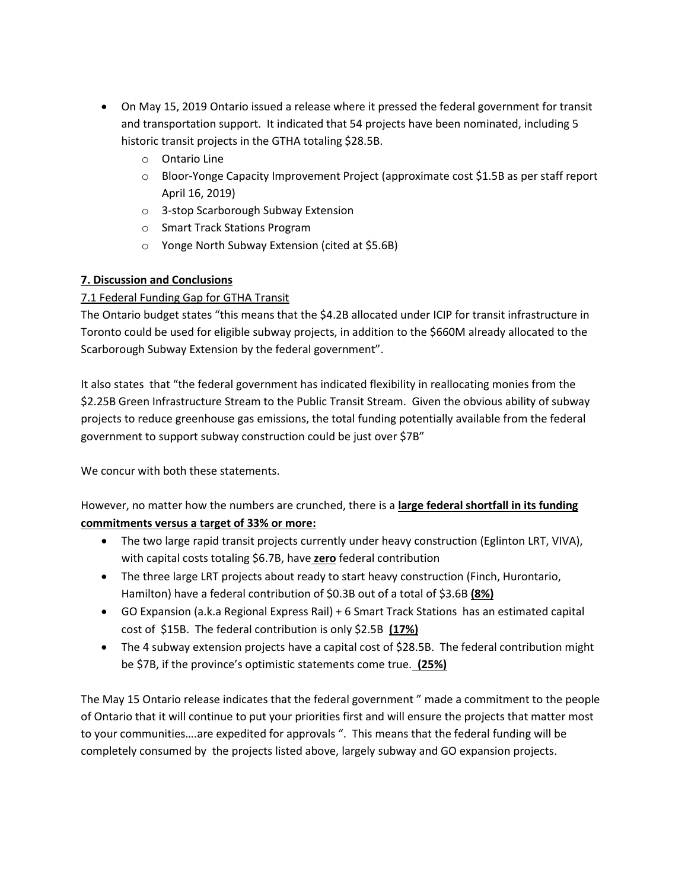- On May 15, 2019 Ontario issued a release where it pressed the federal government for transit and transportation support. It indicated that 54 projects have been nominated, including 5 historic transit projects in the GTHA totaling \$28.5B.
	- o Ontario Line
	- o Bloor-Yonge Capacity Improvement Project (approximate cost \$1.5B as per staff report April 16, 2019)
	- o 3-stop Scarborough Subway Extension
	- o Smart Track Stations Program
	- o Yonge North Subway Extension (cited at \$5.6B)

## **7. Discussion and Conclusions**

# 7.1 Federal Funding Gap for GTHA Transit

The Ontario budget states "this means that the \$4.2B allocated under ICIP for transit infrastructure in Toronto could be used for eligible subway projects, in addition to the \$660M already allocated to the Scarborough Subway Extension by the federal government".

It also states that "the federal government has indicated flexibility in reallocating monies from the \$2.25B Green Infrastructure Stream to the Public Transit Stream. Given the obvious ability of subway projects to reduce greenhouse gas emissions, the total funding potentially available from the federal government to support subway construction could be just over \$7B"

We concur with both these statements.

However, no matter how the numbers are crunched, there is a **large federal shortfall in its funding commitments versus a target of 33% or more:**

- The two large rapid transit projects currently under heavy construction (Eglinton LRT, VIVA), with capital costs totaling \$6.7B, have **zero** federal contribution
- The three large LRT projects about ready to start heavy construction (Finch, Hurontario, Hamilton) have a federal contribution of \$0.3B out of a total of \$3.6B **(8%)**
- GO Expansion (a.k.a Regional Express Rail) + 6 Smart Track Stations has an estimated capital cost of \$15B. The federal contribution is only \$2.5B **(17%)**
- The 4 subway extension projects have a capital cost of \$28.5B. The federal contribution might be \$7B, if the province's optimistic statements come true. **(25%)**

The May 15 Ontario release indicates that the federal government " made a commitment to the people of Ontario that it will continue to put your priorities first and will ensure the projects that matter most to your communities….are expedited for approvals ". This means that the federal funding will be completely consumed by the projects listed above, largely subway and GO expansion projects.